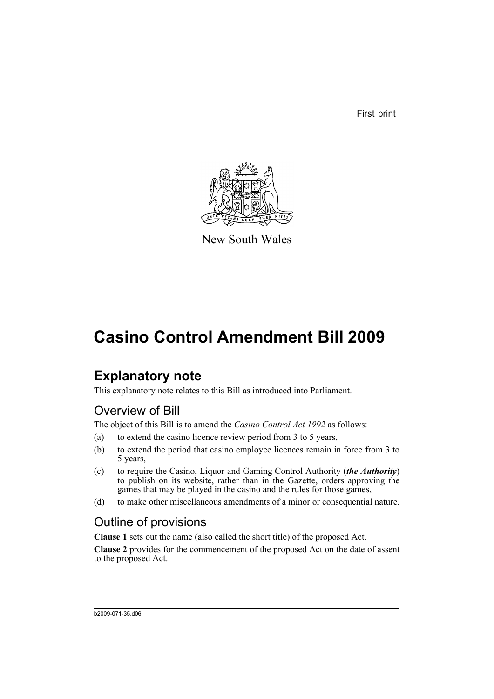First print



New South Wales

# **Casino Control Amendment Bill 2009**

## **Explanatory note**

This explanatory note relates to this Bill as introduced into Parliament.

### Overview of Bill

The object of this Bill is to amend the *Casino Control Act 1992* as follows:

- (a) to extend the casino licence review period from 3 to 5 years,
- (b) to extend the period that casino employee licences remain in force from 3 to 5 years,
- (c) to require the Casino, Liquor and Gaming Control Authority (*the Authority*) to publish on its website, rather than in the Gazette, orders approving the games that may be played in the casino and the rules for those games,
- (d) to make other miscellaneous amendments of a minor or consequential nature.

### Outline of provisions

**Clause 1** sets out the name (also called the short title) of the proposed Act.

**Clause 2** provides for the commencement of the proposed Act on the date of assent to the proposed Act.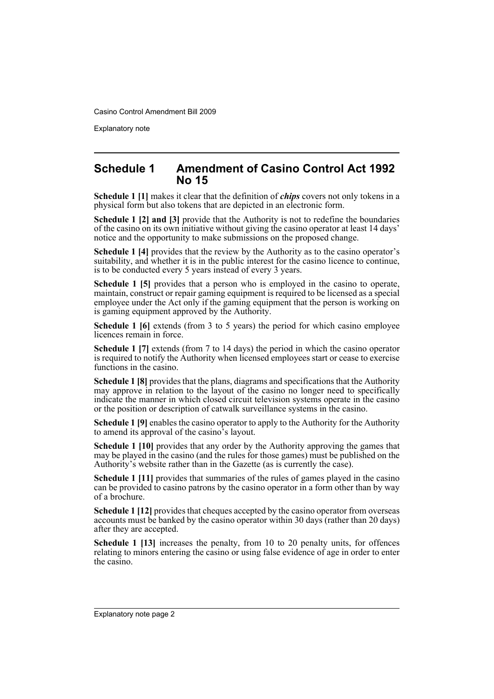Explanatory note

#### **Schedule 1 Amendment of Casino Control Act 1992 No 15**

**Schedule 1 [1]** makes it clear that the definition of *chips* covers not only tokens in a physical form but also tokens that are depicted in an electronic form.

**Schedule 1 [2] and [3]** provide that the Authority is not to redefine the boundaries of the casino on its own initiative without giving the casino operator at least 14 days' notice and the opportunity to make submissions on the proposed change.

**Schedule 1 [4]** provides that the review by the Authority as to the casino operator's suitability, and whether it is in the public interest for the casino licence to continue, is to be conducted every 5 years instead of every 3 years.

**Schedule 1 [5]** provides that a person who is employed in the casino to operate, maintain, construct or repair gaming equipment is required to be licensed as a special employee under the Act only if the gaming equipment that the person is working on is gaming equipment approved by the Authority.

**Schedule 1 [6]** extends (from 3 to 5 years) the period for which casino employee licences remain in force.

**Schedule 1 [7]** extends (from 7 to 14 days) the period in which the casino operator is required to notify the Authority when licensed employees start or cease to exercise functions in the casino.

**Schedule 1 [8]** provides that the plans, diagrams and specifications that the Authority may approve in relation to the layout of the casino no longer need to specifically indicate the manner in which closed circuit television systems operate in the casino or the position or description of catwalk surveillance systems in the casino.

**Schedule 1 [9]** enables the casino operator to apply to the Authority for the Authority to amend its approval of the casino's layout.

**Schedule 1 [10]** provides that any order by the Authority approving the games that may be played in the casino (and the rules for those games) must be published on the Authority's website rather than in the Gazette (as is currently the case).

**Schedule 1 [11]** provides that summaries of the rules of games played in the casino can be provided to casino patrons by the casino operator in a form other than by way of a brochure.

**Schedule 1 [12]** provides that cheques accepted by the casino operator from overseas accounts must be banked by the casino operator within 30 days (rather than 20 days) after they are accepted.

**Schedule 1 [13]** increases the penalty, from 10 to 20 penalty units, for offences relating to minors entering the casino or using false evidence of age in order to enter the casino.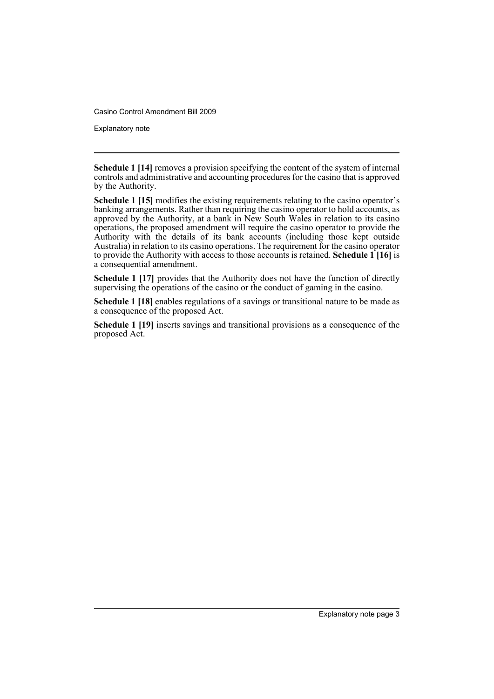Explanatory note

**Schedule 1 [14]** removes a provision specifying the content of the system of internal controls and administrative and accounting procedures for the casino that is approved by the Authority.

**Schedule 1 [15]** modifies the existing requirements relating to the casino operator's banking arrangements. Rather than requiring the casino operator to hold accounts, as approved by the Authority, at a bank in New South Wales in relation to its casino operations, the proposed amendment will require the casino operator to provide the Authority with the details of its bank accounts (including those kept outside Australia) in relation to its casino operations. The requirement for the casino operator to provide the Authority with access to those accounts is retained. **Schedule 1 [16]** is a consequential amendment.

**Schedule 1 [17]** provides that the Authority does not have the function of directly supervising the operations of the casino or the conduct of gaming in the casino.

**Schedule 1 [18]** enables regulations of a savings or transitional nature to be made as a consequence of the proposed Act.

**Schedule 1 [19]** inserts savings and transitional provisions as a consequence of the proposed Act.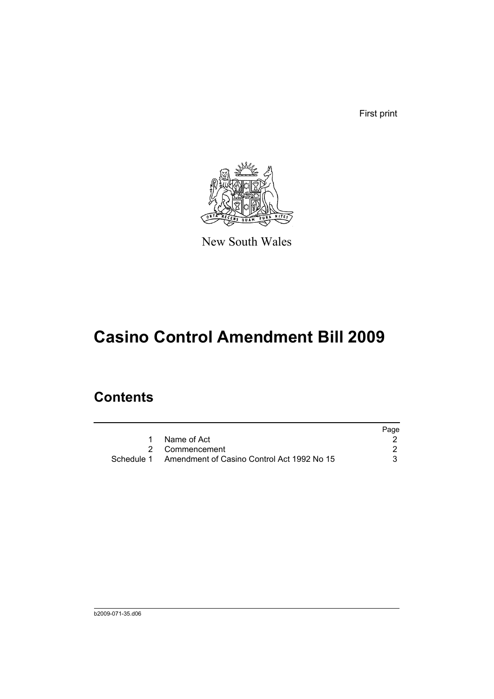First print



New South Wales

# **Casino Control Amendment Bill 2009**

## **Contents**

|                                                       | Page |
|-------------------------------------------------------|------|
| 1 Name of Act                                         |      |
| 2 Commencement                                        |      |
| Schedule 1 Amendment of Casino Control Act 1992 No 15 |      |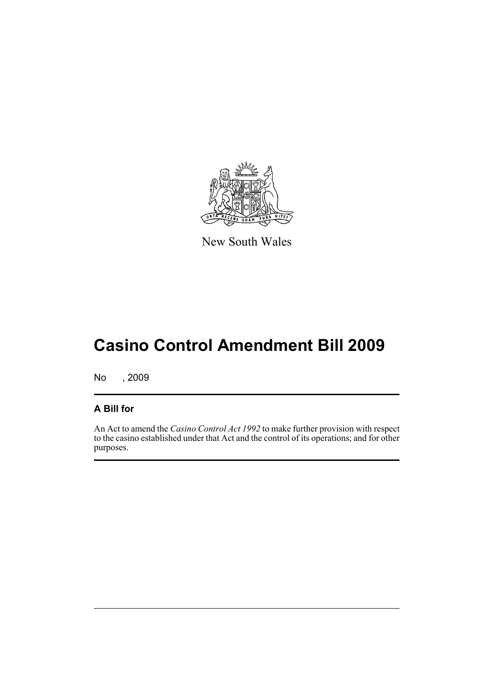

New South Wales

# **Casino Control Amendment Bill 2009**

No , 2009

#### **A Bill for**

An Act to amend the *Casino Control Act 1992* to make further provision with respect to the casino established under that Act and the control of its operations; and for other purposes.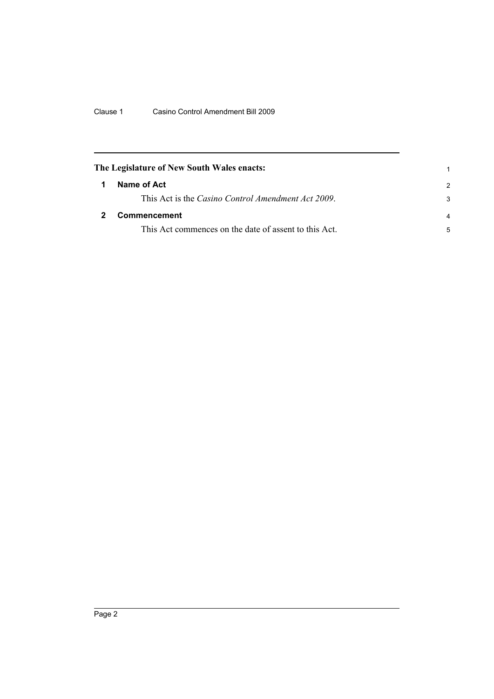<span id="page-7-1"></span><span id="page-7-0"></span>

| The Legislature of New South Wales enacts: |                                                            |                |
|--------------------------------------------|------------------------------------------------------------|----------------|
|                                            | Name of Act                                                | $\mathcal{P}$  |
|                                            | This Act is the <i>Casino Control Amendment Act 2009</i> . | 3              |
|                                            | <b>Commencement</b>                                        | $\overline{a}$ |
|                                            | This Act commences on the date of assent to this Act.      | 5              |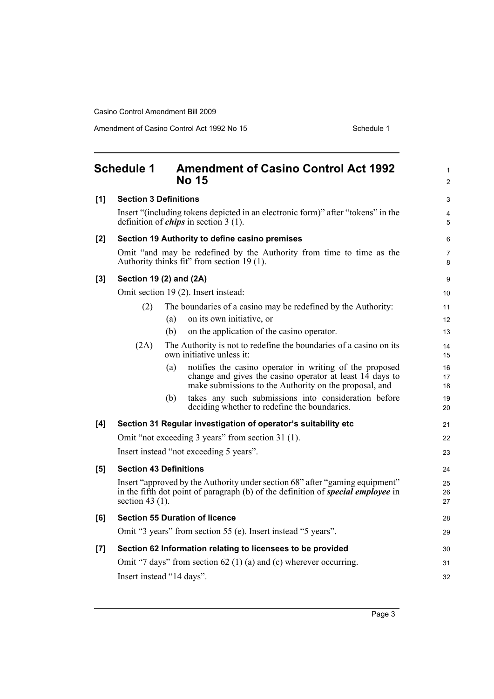Amendment of Casino Control Act 1992 No 15 Schedule 1

<span id="page-8-0"></span>

|     | <b>Schedule 1</b>                                                                                                                  |     | <b>Amendment of Casino Control Act 1992</b><br><b>No 15</b>                                                                                                                   | 1<br>$\overline{2}$ |
|-----|------------------------------------------------------------------------------------------------------------------------------------|-----|-------------------------------------------------------------------------------------------------------------------------------------------------------------------------------|---------------------|
| [1] | <b>Section 3 Definitions</b>                                                                                                       |     | 3                                                                                                                                                                             |                     |
|     | Insert "(including tokens depicted in an electronic form)" after "tokens" in the<br>definition of <i>chips</i> in section $3(1)$ . |     |                                                                                                                                                                               | 4<br>5              |
| [2] | Section 19 Authority to define casino premises                                                                                     |     |                                                                                                                                                                               | 6                   |
|     |                                                                                                                                    |     | Omit "and may be redefined by the Authority from time to time as the<br>Authority thinks fit" from section 19 (1).                                                            | 7<br>8              |
| [3] | Section 19 (2) and (2A)                                                                                                            |     |                                                                                                                                                                               | 9                   |
|     |                                                                                                                                    |     | Omit section 19 (2). Insert instead:                                                                                                                                          | 10                  |
|     | (2)                                                                                                                                |     | The boundaries of a casino may be redefined by the Authority:                                                                                                                 | 11                  |
|     |                                                                                                                                    | (a) | on its own initiative, or                                                                                                                                                     | 12                  |
|     |                                                                                                                                    | (b) | on the application of the casino operator.                                                                                                                                    | 13                  |
|     | (2A)                                                                                                                               |     | The Authority is not to redefine the boundaries of a casino on its<br>own initiative unless it:                                                                               | 14<br>15            |
|     |                                                                                                                                    | (a) | notifies the casino operator in writing of the proposed<br>change and gives the casino operator at least 14 days to<br>make submissions to the Authority on the proposal, and | 16<br>17<br>18      |
|     |                                                                                                                                    | (b) | takes any such submissions into consideration before<br>deciding whether to redefine the boundaries.                                                                          | 19<br>20            |
| [4] |                                                                                                                                    |     | Section 31 Regular investigation of operator's suitability etc                                                                                                                | 21                  |
|     |                                                                                                                                    |     | Omit "not exceeding 3 years" from section 31 (1).                                                                                                                             | 22                  |
|     |                                                                                                                                    |     | Insert instead "not exceeding 5 years".                                                                                                                                       | 23                  |
| [5] | <b>Section 43 Definitions</b>                                                                                                      |     |                                                                                                                                                                               | 24                  |
|     | section 43 $(1)$ .                                                                                                                 |     | Insert "approved by the Authority under section 68" after "gaming equipment"<br>in the fifth dot point of paragraph (b) of the definition of <b>special employee</b> in       | 25<br>26<br>27      |
| [6] |                                                                                                                                    |     | <b>Section 55 Duration of licence</b>                                                                                                                                         | 28                  |
|     |                                                                                                                                    |     | Omit "3 years" from section 55 (e). Insert instead "5 years".                                                                                                                 | 29                  |
| [7] |                                                                                                                                    |     | Section 62 Information relating to licensees to be provided                                                                                                                   | 30                  |
|     |                                                                                                                                    |     | Omit "7 days" from section 62 (1) (a) and (c) wherever occurring.                                                                                                             | 31                  |
|     | Insert instead "14 days".                                                                                                          |     |                                                                                                                                                                               | 32                  |
|     |                                                                                                                                    |     |                                                                                                                                                                               |                     |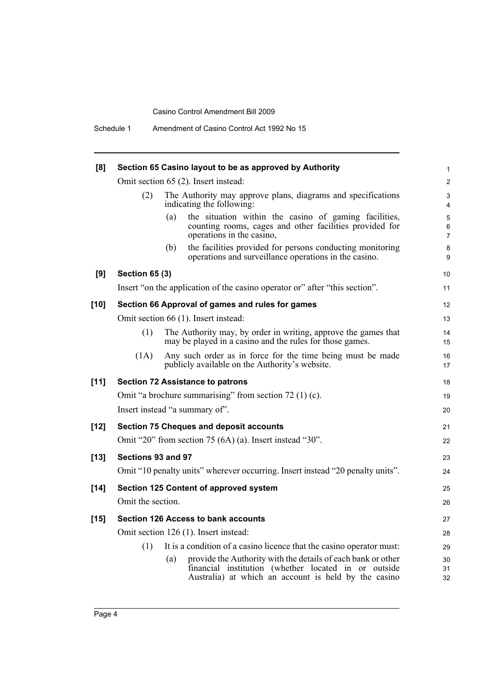| [8]    | Section 65 Casino layout to be as approved by Authority                                                                                                                             | 1                              |  |
|--------|-------------------------------------------------------------------------------------------------------------------------------------------------------------------------------------|--------------------------------|--|
|        | Omit section 65 (2). Insert instead:                                                                                                                                                | $\overline{2}$                 |  |
|        | The Authority may approve plans, diagrams and specifications<br>(2)<br>indicating the following:                                                                                    | 3<br>4                         |  |
|        | (a)<br>the situation within the casino of gaming facilities,<br>counting rooms, cages and other facilities provided for<br>operations in the casino,                                | 5<br>$\,6\,$<br>$\overline{7}$ |  |
|        | the facilities provided for persons conducting monitoring<br>(b)<br>operations and surveillance operations in the casino.                                                           | 8<br>9                         |  |
| [9]    | <b>Section 65 (3)</b>                                                                                                                                                               | 10                             |  |
|        | Insert "on the application of the casino operator or" after "this section".                                                                                                         | 11                             |  |
| $[10]$ | Section 66 Approval of games and rules for games                                                                                                                                    | 12                             |  |
|        | Omit section 66 (1). Insert instead:                                                                                                                                                | 13                             |  |
|        | The Authority may, by order in writing, approve the games that<br>(1)<br>may be played in a casino and the rules for those games.                                                   | 14<br>15                       |  |
|        | Any such order as in force for the time being must be made<br>(1A)<br>publicly available on the Authority's website.                                                                | 16<br>17                       |  |
| $[11]$ | <b>Section 72 Assistance to patrons</b>                                                                                                                                             | 18                             |  |
|        | Omit "a brochure summarising" from section $72(1)(c)$ .                                                                                                                             | 19                             |  |
|        | Insert instead "a summary of".                                                                                                                                                      | 20                             |  |
| $[12]$ | <b>Section 75 Cheques and deposit accounts</b>                                                                                                                                      | 21                             |  |
|        | Omit "20" from section 75 $(6A)$ (a). Insert instead "30".                                                                                                                          | 22                             |  |
| $[13]$ | Sections 93 and 97                                                                                                                                                                  | 23                             |  |
|        | Omit "10 penalty units" wherever occurring. Insert instead "20 penalty units".                                                                                                      | 24                             |  |
| $[14]$ | <b>Section 125 Content of approved system</b>                                                                                                                                       | 25                             |  |
|        | Omit the section.                                                                                                                                                                   | 26                             |  |
| $[15]$ | <b>Section 126 Access to bank accounts</b>                                                                                                                                          | 27                             |  |
|        | Omit section 126 (1). Insert instead:                                                                                                                                               |                                |  |
|        | It is a condition of a casino licence that the casino operator must:<br>(1)                                                                                                         | 29                             |  |
|        | provide the Authority with the details of each bank or other<br>(a)<br>financial institution (whether located in or outside<br>Australia) at which an account is held by the casino | 30<br>31<br>32                 |  |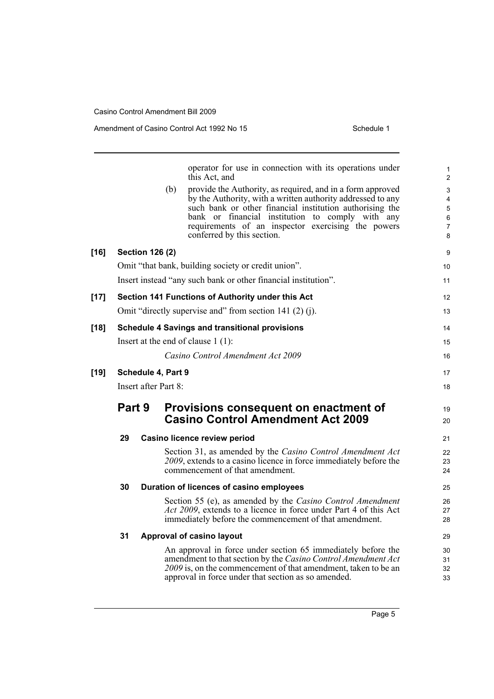|    | operator for use in connection with its operations under                                                                                                                                                                                                                                                                             | $\mathbf{1}$                                                                                                                                                                                                                                                                                                                                                                                                                                                                                                            |
|----|--------------------------------------------------------------------------------------------------------------------------------------------------------------------------------------------------------------------------------------------------------------------------------------------------------------------------------------|-------------------------------------------------------------------------------------------------------------------------------------------------------------------------------------------------------------------------------------------------------------------------------------------------------------------------------------------------------------------------------------------------------------------------------------------------------------------------------------------------------------------------|
|    | this Act, and                                                                                                                                                                                                                                                                                                                        | $\overline{2}$                                                                                                                                                                                                                                                                                                                                                                                                                                                                                                          |
|    | provide the Authority, as required, and in a form approved<br>(b)<br>by the Authority, with a written authority addressed to any<br>such bank or other financial institution authorising the<br>bank or financial institution to comply with any<br>requirements of an inspector exercising the powers<br>conferred by this section. | 3<br>$\overline{\mathbf{4}}$<br>5<br>6<br>$\boldsymbol{7}$<br>8                                                                                                                                                                                                                                                                                                                                                                                                                                                         |
|    |                                                                                                                                                                                                                                                                                                                                      | 9                                                                                                                                                                                                                                                                                                                                                                                                                                                                                                                       |
|    |                                                                                                                                                                                                                                                                                                                                      | 10                                                                                                                                                                                                                                                                                                                                                                                                                                                                                                                      |
|    |                                                                                                                                                                                                                                                                                                                                      | 11                                                                                                                                                                                                                                                                                                                                                                                                                                                                                                                      |
|    |                                                                                                                                                                                                                                                                                                                                      | 12                                                                                                                                                                                                                                                                                                                                                                                                                                                                                                                      |
|    |                                                                                                                                                                                                                                                                                                                                      | 13                                                                                                                                                                                                                                                                                                                                                                                                                                                                                                                      |
|    |                                                                                                                                                                                                                                                                                                                                      | 14                                                                                                                                                                                                                                                                                                                                                                                                                                                                                                                      |
|    |                                                                                                                                                                                                                                                                                                                                      | 15                                                                                                                                                                                                                                                                                                                                                                                                                                                                                                                      |
|    | Casino Control Amendment Act 2009                                                                                                                                                                                                                                                                                                    | 16                                                                                                                                                                                                                                                                                                                                                                                                                                                                                                                      |
|    |                                                                                                                                                                                                                                                                                                                                      | 17                                                                                                                                                                                                                                                                                                                                                                                                                                                                                                                      |
|    |                                                                                                                                                                                                                                                                                                                                      | 18                                                                                                                                                                                                                                                                                                                                                                                                                                                                                                                      |
|    | Provisions consequent on enactment of<br><b>Casino Control Amendment Act 2009</b>                                                                                                                                                                                                                                                    | 19<br>20                                                                                                                                                                                                                                                                                                                                                                                                                                                                                                                |
| 29 |                                                                                                                                                                                                                                                                                                                                      | 21                                                                                                                                                                                                                                                                                                                                                                                                                                                                                                                      |
|    | Section 31, as amended by the Casino Control Amendment Act<br>2009, extends to a casino licence in force immediately before the<br>commencement of that amendment.                                                                                                                                                                   | 22<br>23<br>24                                                                                                                                                                                                                                                                                                                                                                                                                                                                                                          |
| 30 |                                                                                                                                                                                                                                                                                                                                      | 25                                                                                                                                                                                                                                                                                                                                                                                                                                                                                                                      |
|    | Section 55 (e), as amended by the Casino Control Amendment<br>Act 2009, extends to a licence in force under Part 4 of this Act<br>immediately before the commencement of that amendment.                                                                                                                                             | 26<br>27<br>28                                                                                                                                                                                                                                                                                                                                                                                                                                                                                                          |
| 31 |                                                                                                                                                                                                                                                                                                                                      | 29                                                                                                                                                                                                                                                                                                                                                                                                                                                                                                                      |
|    | An approval in force under section 65 immediately before the<br>amendment to that section by the Casino Control Amendment Act<br>2009 is, on the commencement of that amendment, taken to be an<br>approval in force under that section as so amended.                                                                               | 30<br>31<br>32<br>33                                                                                                                                                                                                                                                                                                                                                                                                                                                                                                    |
|    | Part 9                                                                                                                                                                                                                                                                                                                               | <b>Section 126 (2)</b><br>Omit "that bank, building society or credit union".<br>Insert instead "any such bank or other financial institution".<br>Section 141 Functions of Authority under this Act<br>Omit "directly supervise and" from section 141 (2) (j).<br><b>Schedule 4 Savings and transitional provisions</b><br>Insert at the end of clause $1(1)$ :<br>Schedule 4, Part 9<br>Insert after Part 8:<br>Casino licence review period<br>Duration of licences of casino employees<br>Approval of casino layout |